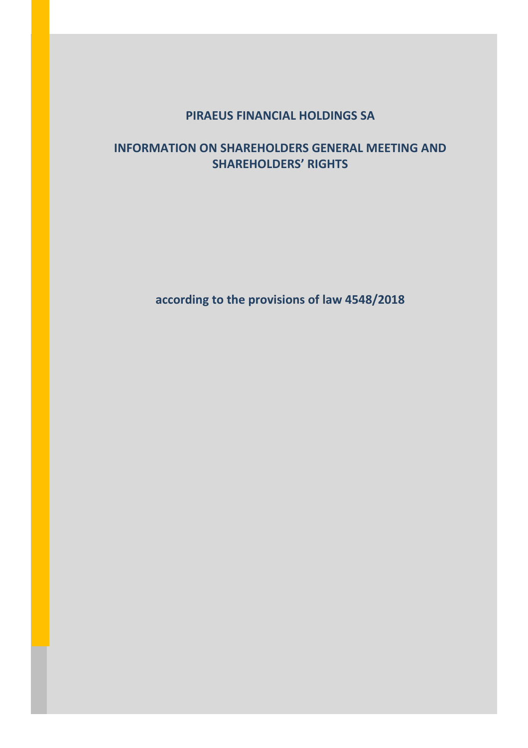# **PIRAEUS FINANCIAL HOLDINGS SA**

# **INFORMATION ON SHAREHOLDERS GENERAL MEETING AND SHAREHOLDERS' RIGHTS**

**according to the provisions of law 4548/2018**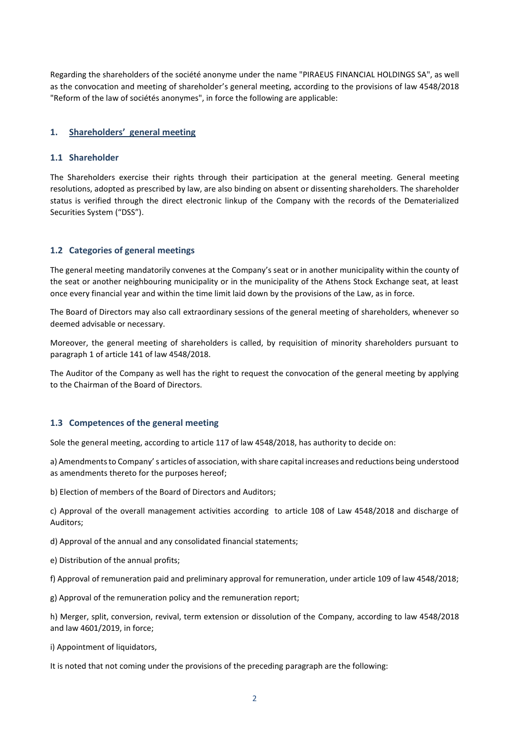Regarding the shareholders of the société anonyme under the name "PIRAEUS FINANCIAL HOLDINGS SA", as well as the convocation and meeting of shareholder's general meeting, according to the provisions of law 4548/2018 "Reform of the law of sociétés anonymes", in force the following are applicable:

#### **1. Shareholders' general meeting**

#### **1.1 Shareholder**

The Shareholders exercise their rights through their participation at the general meeting. General meeting resolutions, adopted as prescribed by law, are also binding on absent or dissenting shareholders. The shareholder status is verified through the direct electronic linkup of the Company with the records of the Dematerialized Securities System ("DSS").

#### **1.2 Categories of general meetings**

The general meeting mandatorily convenes at the Company's seat or in another municipality within the county of the seat or another neighbouring municipality or in the municipality of the Athens Stock Exchange seat, at least once every financial year and within the time limit laid down by the provisions of the Law, as in force.

The Board of Directors may also call extraordinary sessions of the general meeting of shareholders, whenever so deemed advisable or necessary.

Moreover, the general meeting of shareholders is called, by requisition of minority shareholders pursuant to paragraph 1 of article 141 of law 4548/2018.

The Auditor of the Company as well has the right to request the convocation of the general meeting by applying to the Chairman of the Board of Directors.

#### **1.3 Competences of the general meeting**

Sole the general meeting, according to article 117 of law 4548/2018, has authority to decide on:

a) Amendments to Company' s articles of association, with share capital increases and reductions being understood as amendments thereto for the purposes hereof;

b) Election of members of the Board of Directors and Auditors;

c) Approval of the overall management activities according to article 108 of Law 4548/2018 and discharge of Auditors;

d) Approval of the annual and any consolidated financial statements;

e) Distribution of the annual profits;

f) Approval of remuneration paid and preliminary approval for remuneration, under article 109 of law 4548/2018;

g) Approval of the remuneration policy and the remuneration report;

h) Merger, split, conversion, revival, term extension or dissolution of the Company, according to law 4548/2018 and law 4601/2019, in force;

i) Appointment of liquidators,

It is noted that not coming under the provisions of the preceding paragraph are the following: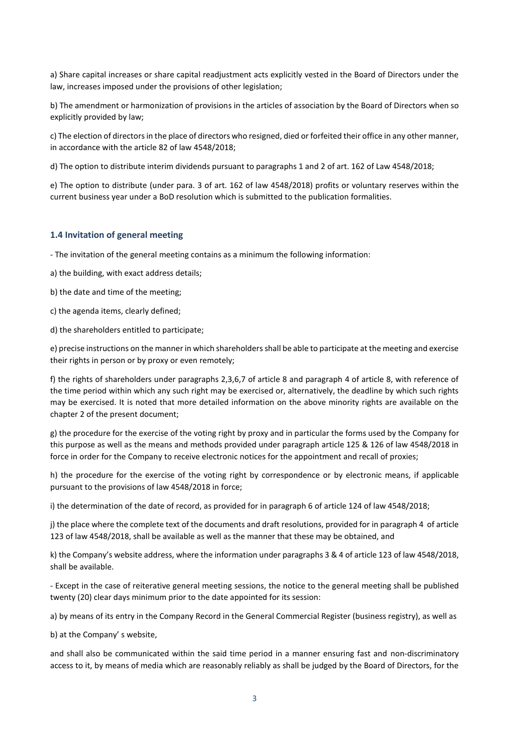a) Share capital increases or share capital readjustment acts explicitly vested in the Board of Directors under the law, increases imposed under the provisions of other legislation;

b) The amendment or harmonization of provisions in the articles of association by the Board of Directors when so explicitly provided by law;

c) The election of directors in the place of directors who resigned, died or forfeited their office in any other manner, in accordance with the article 82 of law 4548/2018;

d) The option to distribute interim dividends pursuant to paragraphs 1 and 2 of art. 162 of Law 4548/2018;

e) The option to distribute (under para. 3 of art. 162 of law 4548/2018) profits or voluntary reserves within the current business year under a BoD resolution which is submitted to the publication formalities.

#### **1.4 Invitation of general meeting**

- The invitation of the general meeting contains as a minimum the following information:

a) the building, with exact address details;

b) the date and time of the meeting;

c) the agenda items, clearly defined;

d) the shareholders entitled to participate;

e) precise instructions on the manner in which shareholders shall be able to participate at the meeting and exercise their rights in person or by proxy or even remotely;

f) the rights of shareholders under paragraphs 2,3,6,7 of article 8 and paragraph 4 of article 8, with reference of the time period within which any such right may be exercised or, alternatively, the deadline by which such rights may be exercised. It is noted that more detailed information on the above minority rights are available on the chapter 2 of the present document;

g) the procedure for the exercise of the voting right by proxy and in particular the forms used by the Company for this purpose as well as the means and methods provided under paragraph article 125 & 126 of law 4548/2018 in force in order for the Company to receive electronic notices for the appointment and recall of proxies;

h) the procedure for the exercise of the voting right by correspondence or by electronic means, if applicable pursuant to the provisions of law 4548/2018 in force;

i) the determination of the date of record, as provided for in paragraph 6 of article 124 of law 4548/2018;

j) the place where the complete text of the documents and draft resolutions, provided for in paragraph 4 of article 123 of law 4548/2018, shall be available as well as the manner that these may be obtained, and

k) the Company's website address, where the information under paragraphs 3 & 4 of article 123 of law 4548/2018, shall be available.

- Except in the case of reiterative general meeting sessions, the notice to the general meeting shall be published twenty (20) clear days minimum prior to the date appointed for its session:

a) by means of its entry in the Company Record in the General Commercial Register (business registry), as well as

b) at the Company' s website,

and shall also be communicated within the said time period in a manner ensuring fast and non-discriminatory access to it, by means of media which are reasonably reliably as shall be judged by the Board of Directors, for the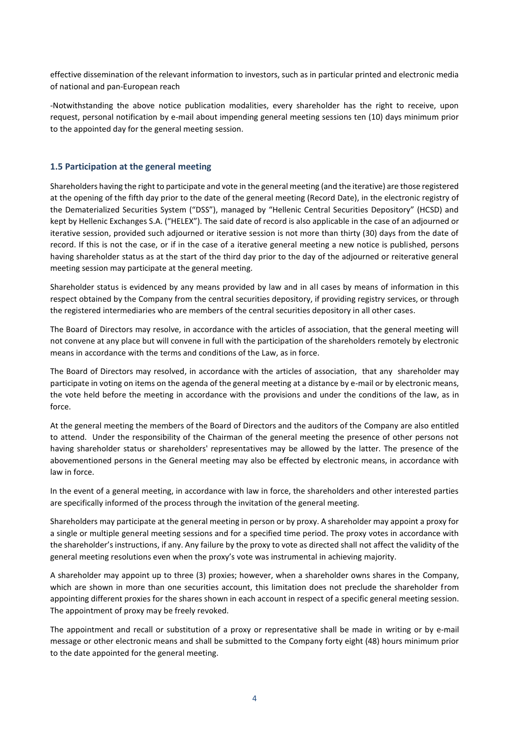effective dissemination of the relevant information to investors, such as in particular printed and electronic media of national and pan-European reach

-Notwithstanding the above notice publication modalities, every shareholder has the right to receive, upon request, personal notification by e-mail about impending general meeting sessions ten (10) days minimum prior to the appointed day for the general meeting session.

#### **1.5 Participation at the general meeting**

Shareholders having the right to participate and vote in the general meeting (and the iterative) are those registered at the opening of the fifth day prior to the date of the general meeting (Record Date), in the electronic registry of the Dematerialized Securities System ("DSS"), managed by "Hellenic Central Securities Depository" (HCSD) and kept by Hellenic Exchanges S.A. ("HELEX"). The said date of record is also applicable in the case of an adjourned or iterative session, provided such adjourned or iterative session is not more than thirty (30) days from the date of record. If this is not the case, or if in the case of a iterative general meeting a new notice is published, persons having shareholder status as at the start of the third day prior to the day of the adjourned or reiterative general meeting session may participate at the general meeting.

Shareholder status is evidenced by any means provided by law and in all cases by means of information in this respect obtained by the Company from the central securities depository, if providing registry services, or through the registered intermediaries who are members of the central securities depository in all other cases.

The Board of Directors may resolve, in accordance with the articles of association, that the general meeting will not convene at any place but will convene in full with the participation of the shareholders remotely by electronic means in accordance with the terms and conditions of the Law, as in force.

The Board of Directors may resolved, in accordance with the articles of association, that any shareholder may participate in voting on items on the agenda of the general meeting at a distance by e-mail or by electronic means, the vote held before the meeting in accordance with the provisions and under the conditions of the law, as in force.

At the general meeting the members of the Board of Directors and the auditors of the Company are also entitled to attend. Under the responsibility of the Chairman of the general meeting the presence of other persons not having shareholder status or shareholders' representatives may be allowed by the latter. The presence of the abovementioned persons in the General meeting may also be effected by electronic means, in accordance with law in force.

In the event of a general meeting, in accordance with law in force, the shareholders and other interested parties are specifically informed of the process through the invitation of the general meeting.

Shareholders may participate at the general meeting in person or by proxy. A shareholder may appoint a proxy for a single or multiple general meeting sessions and for a specified time period. The proxy votes in accordance with the shareholder's instructions, if any. Any failure by the proxy to vote as directed shall not affect the validity of the general meeting resolutions even when the proxy's vote was instrumental in achieving majority.

A shareholder may appoint up to three (3) proxies; however, when a shareholder owns shares in the Company, which are shown in more than one securities account, this limitation does not preclude the shareholder from appointing different proxies for the shares shown in each account in respect of a specific general meeting session. The appointment of proxy may be freely revoked.

The appointment and recall or substitution of a proxy or representative shall be made in writing or by e-mail message or other electronic means and shall be submitted to the Company forty eight (48) hours minimum prior to the date appointed for the general meeting.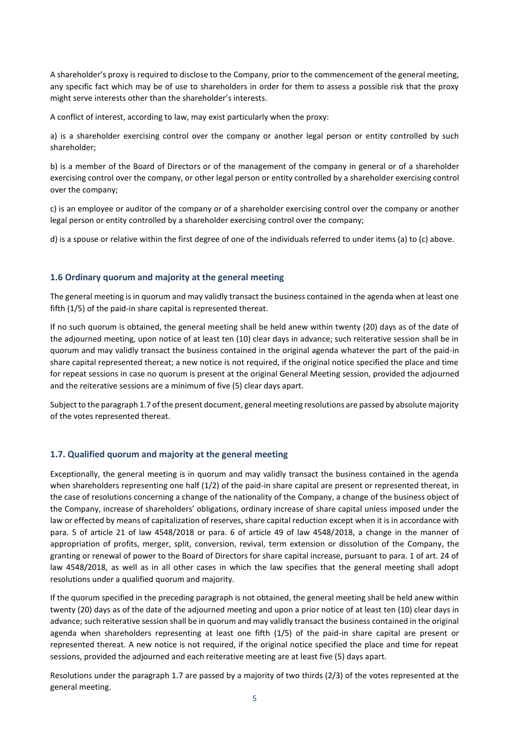A shareholder's proxy is required to disclose to the Company, prior to the commencement of the general meeting, any specific fact which may be of use to shareholders in order for them to assess a possible risk that the proxy might serve interests other than the shareholder's interests.

A conflict of interest, according to law, may exist particularly when the proxy:

a) is a shareholder exercising control over the company or another legal person or entity controlled by such shareholder;

b) is a member of the Board of Directors or of the management of the company in general or of a shareholder exercising control over the company, or other legal person or entity controlled by a shareholder exercising control over the company;

c) is an employee or auditor of the company or of a shareholder exercising control over the company or another legal person or entity controlled by a shareholder exercising control over the company;

d) is a spouse or relative within the first degree of one of the individuals referred to under items (a) to (c) above.

# **1.6 Ordinary quorum and majority at the general meeting**

The general meeting is in quorum and may validly transact the business contained in the agenda when at least one fifth (1/5) of the paid-in share capital is represented thereat.

If no such quorum is obtained, the general meeting shall be held anew within twenty (20) days as of the date of the adjourned meeting, upon notice of at least ten (10) clear days in advance; such reiterative session shall be in quorum and may validly transact the business contained in the original agenda whatever the part of the paid-in share capital represented thereat; a new notice is not required, if the original notice specified the place and time for repeat sessions in case no quorum is present at the original General Meeting session, provided the adjourned and the reiterative sessions are a minimum of five (5) clear days apart.

Subject to the paragraph 1.7 of the present document, general meeting resolutions are passed by absolute majority of the votes represented thereat.

### **1.7. Qualified quorum and majority at the general meeting**

Exceptionally, the general meeting is in quorum and may validly transact the business contained in the agenda when shareholders representing one half (1/2) of the paid-in share capital are present or represented thereat, in the case of resolutions concerning a change of the nationality of the Company, a change of the business object of the Company, increase of shareholders' obligations, ordinary increase of share capital unless imposed under the law or effected by means of capitalization of reserves, share capital reduction except when it is in accordance with para. 5 of article 21 of law 4548/2018 or para. 6 of article 49 of law 4548/2018, a change in the manner of appropriation of profits, merger, split, conversion, revival, term extension or dissolution of the Company, the granting or renewal of power to the Board of Directors for share capital increase, pursuant to para. 1 of art. 24 of law 4548/2018, as well as in all other cases in which the law specifies that the general meeting shall adopt resolutions under a qualified quorum and majority.

If the quorum specified in the preceding paragraph is not obtained, the general meeting shall be held anew within twenty (20) days as of the date of the adjourned meeting and upon a prior notice of at least ten (10) clear days in advance; such reiterative session shall be in quorum and may validly transact the business contained in the original agenda when shareholders representing at least one fifth (1/5) of the paid-in share capital are present or represented thereat. A new notice is not required, if the original notice specified the place and time for repeat sessions, provided the adjourned and each reiterative meeting are at least five (5) days apart.

Resolutions under the paragraph 1.7 are passed by a majority of two thirds (2/3) of the votes represented at the general meeting.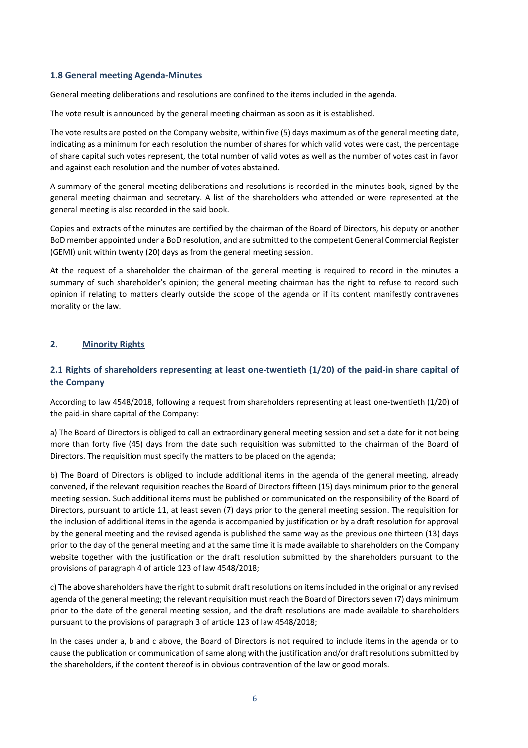# **1.8 General meeting Agenda-Minutes**

General meeting deliberations and resolutions are confined to the items included in the agenda.

The vote result is announced by the general meeting chairman as soon as it is established.

The vote results are posted on the Company website, within five (5) days maximum as of the general meeting date, indicating as a minimum for each resolution the number of shares for which valid votes were cast, the percentage of share capital such votes represent, the total number of valid votes as well as the number of votes cast in favor and against each resolution and the number of votes abstained.

A summary of the general meeting deliberations and resolutions is recorded in the minutes book, signed by the general meeting chairman and secretary. A list of the shareholders who attended or were represented at the general meeting is also recorded in the said book.

Copies and extracts of the minutes are certified by the chairman of the Board of Directors, his deputy or another BoD member appointed under a BoD resolution, and are submitted to the competent General Commercial Register (GEMI) unit within twenty (20) days as from the general meeting session.

At the request of a shareholder the chairman of the general meeting is required to record in the minutes a summary of such shareholder's opinion; the general meeting chairman has the right to refuse to record such opinion if relating to matters clearly outside the scope of the agenda or if its content manifestly contravenes morality or the law.

# **2. Minority Rights**

# **2.1 Rights of shareholders representing at least one-twentieth (1/20) of the paid-in share capital of the Company**

According to law 4548/2018, following a request from shareholders representing at least one-twentieth (1/20) of the paid-in share capital of the Company:

a) The Board of Directors is obliged to call an extraordinary general meeting session and set a date for it not being more than forty five (45) days from the date such requisition was submitted to the chairman of the Board of Directors. The requisition must specify the matters to be placed on the agenda;

b) The Board of Directors is obliged to include additional items in the agenda of the general meeting, already convened, if the relevant requisition reaches the Board of Directors fifteen (15) days minimum prior to the general meeting session. Such additional items must be published or communicated on the responsibility of the Board of Directors, pursuant to article 11, at least seven (7) days prior to the general meeting session. The requisition for the inclusion of additional items in the agenda is accompanied by justification or by a draft resolution for approval by the general meeting and the revised agenda is published the same way as the previous one thirteen (13) days prior to the day of the general meeting and at the same time it is made available to shareholders on the Company website together with the justification or the draft resolution submitted by the shareholders pursuant to the provisions of paragraph 4 of article 123 of law 4548/2018;

c) The above shareholders have the right to submit draft resolutions on items included in the original or any revised agenda of the general meeting; the relevant requisition must reach the Board of Directors seven (7) days minimum prior to the date of the general meeting session, and the draft resolutions are made available to shareholders pursuant to the provisions of paragraph 3 of article 123 of law 4548/2018;

In the cases under a, b and c above, the Board of Directors is not required to include items in the agenda or to cause the publication or communication of same along with the justification and/or draft resolutions submitted by the shareholders, if the content thereof is in obvious contravention of the law or good morals.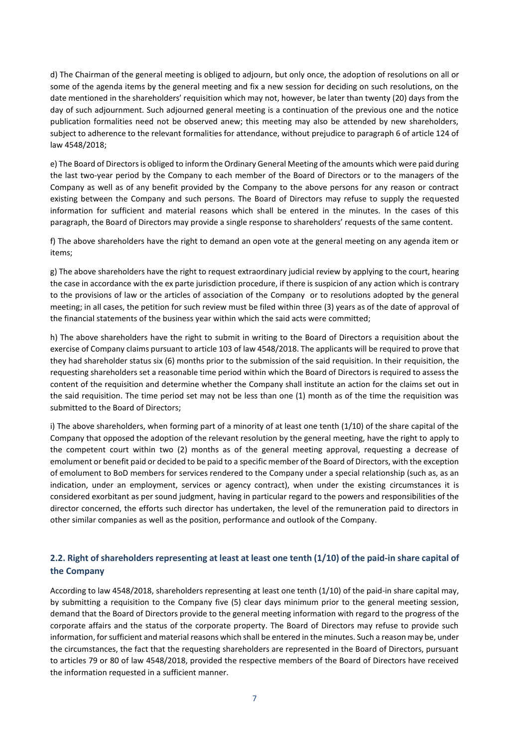d) The Chairman of the general meeting is obliged to adjourn, but only once, the adoption of resolutions on all or some of the agenda items by the general meeting and fix a new session for deciding on such resolutions, on the date mentioned in the shareholders' requisition which may not, however, be later than twenty (20) days from the day of such adjournment. Such adjourned general meeting is a continuation of the previous one and the notice publication formalities need not be observed anew; this meeting may also be attended by new shareholders, subject to adherence to the relevant formalities for attendance, without prejudice to paragraph 6 of article 124 of law 4548/2018;

e) The Board of Directors is obliged to inform the Ordinary General Meeting of the amounts which were paid during the last two-year period by the Company to each member of the Board of Directors or to the managers of the Company as well as of any benefit provided by the Company to the above persons for any reason or contract existing between the Company and such persons. The Board of Directors may refuse to supply the requested information for sufficient and material reasons which shall be entered in the minutes. In the cases of this paragraph, the Board of Directors may provide a single response to shareholders' requests of the same content.

f) The above shareholders have the right to demand an open vote at the general meeting on any agenda item or items;

g) The above shareholders have the right to request extraordinary judicial review by applying to the court, hearing the case in accordance with the ex parte jurisdiction procedure, if there is suspicion of any action which is contrary to the provisions of law or the articles of association of the Company or to resolutions adopted by the general meeting; in all cases, the petition for such review must be filed within three (3) years as of the date of approval of the financial statements of the business year within which the said acts were committed;

h) The above shareholders have the right to submit in writing to the Board of Directors a requisition about the exercise of Company claims pursuant to article 103 of law 4548/2018. The applicants will be required to prove that they had shareholder status six (6) months prior to the submission of the said requisition. In their requisition, the requesting shareholders set a reasonable time period within which the Board of Directors is required to assess the content of the requisition and determine whether the Company shall institute an action for the claims set out in the said requisition. The time period set may not be less than one (1) month as of the time the requisition was submitted to the Board of Directors;

i) The above shareholders, when forming part of a minority of at least one tenth (1/10) of the share capital of the Company that opposed the adoption of the relevant resolution by the general meeting, have the right to apply to the competent court within two (2) months as of the general meeting approval, requesting a decrease of emolument or benefit paid or decided to be paid to a specific member of the Board of Directors, with the exception of emolument to BoD members for services rendered to the Company under a special relationship (such as, as an indication, under an employment, services or agency contract), when under the existing circumstances it is considered exorbitant as per sound judgment, having in particular regard to the powers and responsibilities of the director concerned, the efforts such director has undertaken, the level of the remuneration paid to directors in other similar companies as well as the position, performance and outlook of the Company.

# **2.2. Right of shareholders representing at least at least one tenth (1/10) of the paid-in share capital of the Company**

According to law 4548/2018, shareholders representing at least one tenth (1/10) of the paid-in share capital may, by submitting a requisition to the Company five (5) clear days minimum prior to the general meeting session, demand that the Board of Directors provide to the general meeting information with regard to the progress of the corporate affairs and the status of the corporate property. The Board of Directors may refuse to provide such information, for sufficient and material reasons which shall be entered in the minutes. Such a reason may be, under the circumstances, the fact that the requesting shareholders are represented in the Board of Directors, pursuant to articles 79 or 80 of law 4548/2018, provided the respective members of the Board of Directors have received the information requested in a sufficient manner.